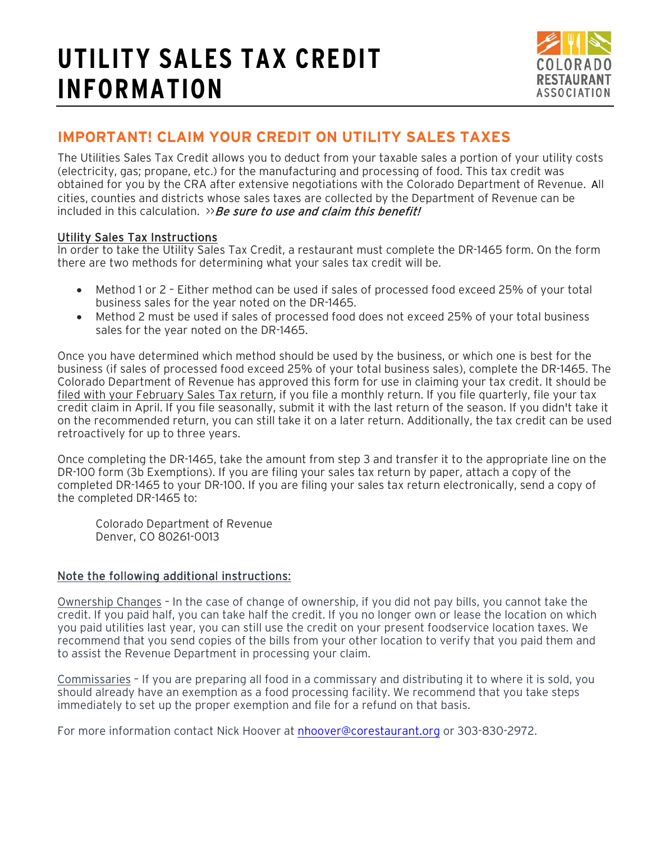# **UTILITY SALES TAX CREDIT INFORMATION**



### **IMPORTANT! CLAIM YOUR CREDIT ON UTILITY SALES TAXES**

The Utilities Sales Tax Credit allows you to deduct from your taxable sales a portion of your utility costs (electricity, gas; propane, etc.) for the manufacturing and processing of food. This tax credit was obtained for you by the CRA after extensive negotiations with the Colorado Department of Revenue. All cities, counties and districts whose sales taxes are collected by the Department of Revenue can be included in this calculation.  $\gg$  Be sure to use and claim this benefit!

#### Utility Sales Tax Instructions

In order to take the Utility Sales Tax Credit, a restaurant must complete the DR-1465 form. On the form there are two methods for determining what your sales tax credit will be.

- Method 1 or 2 Either method can be used if sales of processed food exceed 25% of your total business sales for the year noted on the DR-1465.
- Method 2 must be used if sales of processed food does not exceed 25% of your total business sales for the year noted on the DR-1465.

Once you have determined which method should be used by the business, or which one is best for the business (if sales of processed food exceed 25% of your total business sales), complete the DR-1465. The Colorado Department of Revenue has approved this form for use in claiming your tax credit. It should be filed with your February Sales Tax return, if you file a monthly return. If you file quarterly, file your tax credit claim in April. If you file seasonally, submit it with the last return of the season. If you didn't take it on the recommended return, you can still take it on a later return. Additionally, the tax credit can be used retroactively for up to three years.

Once completing the DR-1465, take the amount from step 3 and transfer it to the appropriate line on the DR-100 form (3b Exemptions). If you are filing your sales tax return by paper, attach a copy of the completed DR-1465 to your DR-100. If you are filing your sales tax return electronically, send a copy of the completed DR-1465 to:

Colorado Department of Revenue Denver, CO 80261-0013

#### Note the following additional instructions:

Ownership Changes *–* In the case of change of ownership, if you did not pay bills, you cannot take the credit. If you paid half, you can take half the credit. If you no longer own or lease the location on which you paid utilities last year, you can still use the credit on your present foodservice location taxes. We recommend that you send copies of the bills from your other location to verify that you paid them and to assist the Revenue Department in processing your claim.

Commissaries – If you are preparing all food in a commissary and distributing it to where it is sold, you should already have an exemption as a food processing facility. We recommend that you take steps immediately to set up the proper exemption and file for a refund on that basis.

For more information contact Nick Hoover at [nhoover@corestaurant.org](mailto:nhoover@corestaurant.org) or 303-830-2972.